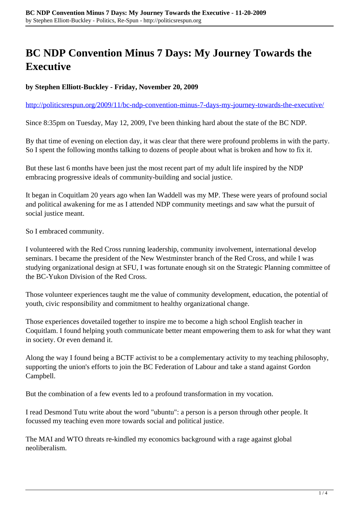## **BC NDP Convention Minus 7 Days: My Journey Towards the Executive**

## **by Stephen Elliott-Buckley - Friday, November 20, 2009**

<http://politicsrespun.org/2009/11/bc-ndp-convention-minus-7-days-my-journey-towards-the-executive/>

Since 8:35pm on Tuesday, May 12, 2009, I've been thinking hard about the state of the BC NDP.

By that time of evening on election day, it was clear that there were profound problems in with the party. So I spent the following months talking to dozens of people about what is broken and how to fix it.

But these last 6 months have been just the most recent part of my adult life inspired by the NDP embracing progressive ideals of community-building and social justice.

It began in Coquitlam 20 years ago when Ian Waddell was my MP. These were years of profound social and political awakening for me as I attended NDP community meetings and saw what the pursuit of social justice meant.

So I embraced community.

I volunteered with the Red Cross running leadership, community involvement, international develop seminars. I became the president of the New Westminster branch of the Red Cross, and while I was studying organizational design at SFU, I was fortunate enough sit on the Strategic Planning committee of the BC-Yukon Division of the Red Cross.

Those volunteer experiences taught me the value of community development, education, the potential of youth, civic responsibility and commitment to healthy organizational change.

Those experiences dovetailed together to inspire me to become a high school English teacher in Coquitlam. I found helping youth communicate better meant empowering them to ask for what they want in society. Or even demand it.

Along the way I found being a BCTF activist to be a complementary activity to my teaching philosophy, supporting the union's efforts to join the BC Federation of Labour and take a stand against Gordon Campbell.

But the combination of a few events led to a profound transformation in my vocation.

I read Desmond Tutu write about the word "ubuntu": a person is a person through other people. It focussed my teaching even more towards social and political justice.

The MAI and WTO threats re-kindled my economics background with a rage against global neoliberalism.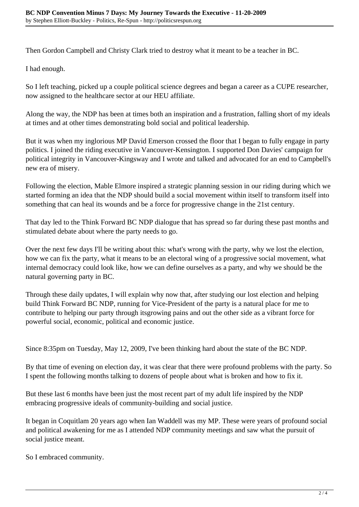Then Gordon Campbell and Christy Clark tried to destroy what it meant to be a teacher in BC.

I had enough.

So I left teaching, picked up a couple political science degrees and began a career as a CUPE researcher, now assigned to the healthcare sector at our HEU affiliate.

Along the way, the NDP has been at times both an inspiration and a frustration, falling short of my ideals at times and at other times demonstrating bold social and political leadership.

But it was when my inglorious MP David Emerson crossed the floor that I began to fully engage in party politics. I joined the riding executive in Vancouver-Kensington. I supported Don Davies' campaign for political integrity in Vancouver-Kingsway and I wrote and talked and advocated for an end to Campbell's new era of misery.

Following the election, Mable Elmore inspired a strategic planning session in our riding during which we started forming an idea that the NDP should build a social movement within itself to transform itself into something that can heal its wounds and be a force for progressive change in the 21st century.

That day led to the Think Forward BC NDP dialogue that has spread so far during these past months and stimulated debate about where the party needs to go.

Over the next few days I'll be writing about this: what's wrong with the party, why we lost the election, how we can fix the party, what it means to be an electoral wing of a progressive social movement, what internal democracy could look like, how we can define ourselves as a party, and why we should be the natural governing party in BC.

Through these daily updates, I will explain why now that, after studying our lost election and helping build Think Forward BC NDP, running for Vice-President of the party is a natural place for me to contribute to helping our party through itsgrowing pains and out the other side as a vibrant force for powerful social, economic, political and economic justice.

Since 8:35pm on Tuesday, May 12, 2009, I've been thinking hard about the state of the BC NDP.

By that time of evening on election day, it was clear that there were profound problems with the party. So I spent the following months talking to dozens of people about what is broken and how to fix it.

But these last 6 months have been just the most recent part of my adult life inspired by the NDP embracing progressive ideals of community-building and social justice.

It began in Coquitlam 20 years ago when Ian Waddell was my MP. These were years of profound social and political awakening for me as I attended NDP community meetings and saw what the pursuit of social justice meant.

So I embraced community.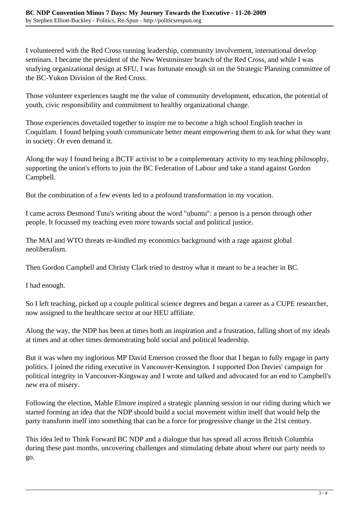I volunteered with the Red Cross running leadership, community involvement, international develop seminars. I became the president of the New Westminster branch of the Red Cross, and while I was studying organizational design at SFU, I was fortunate enough sit on the Strategic Planning committee of the BC-Yukon Division of the Red Cross.

Those volunteer experiences taught me the value of community development, education, the potential of youth, civic responsibility and commitment to healthy organizational change.

Those experiences dovetailed together to inspire me to become a high school English teacher in Coquitlam. I found helping youth communicate better meant empowering them to ask for what they want in society. Or even demand it.

Along the way I found being a BCTF activist to be a complementary activity to my teaching philosophy, supporting the union's efforts to join the BC Federation of Labour and take a stand against Gordon Campbell.

But the combination of a few events led to a profound transformation in my vocation.

I came across Desmond Tutu's writing about the word "ubuntu": a person is a person through other people. It focussed my teaching even more towards social and political justice.

The MAI and WTO threats re-kindled my economics background with a rage against global neoliberalism.

Then Gordon Campbell and Christy Clark tried to destroy what it meant to be a teacher in BC.

I had enough.

So I left teaching, picked up a couple political science degrees and began a career as a CUPE researcher, now assigned to the healthcare sector at our HEU affiliate.

Along the way, the NDP has been at times both an inspiration and a frustration, falling short of my ideals at times and at other times demonstrating bold social and political leadership.

But it was when my inglorious MP David Emerson crossed the floor that I began to fully engage in party politics. I joined the riding executive in Vancouver-Kensington. I supported Don Davies' campaign for political integrity in Vancouver-Kingsway and I wrote and talked and advocated for an end to Campbell's new era of misery.

Following the election, Mable Elmore inspired a strategic planning session in our riding during which we started forming an idea that the NDP should build a social movement within itself that would help the party transform itself into something that can be a force for progressive change in the 21st century.

This idea led to Think Forward BC NDP and a dialogue that has spread all across British Columbia during these past months, uncovering challenges and stimulating debate about where our party needs to go.